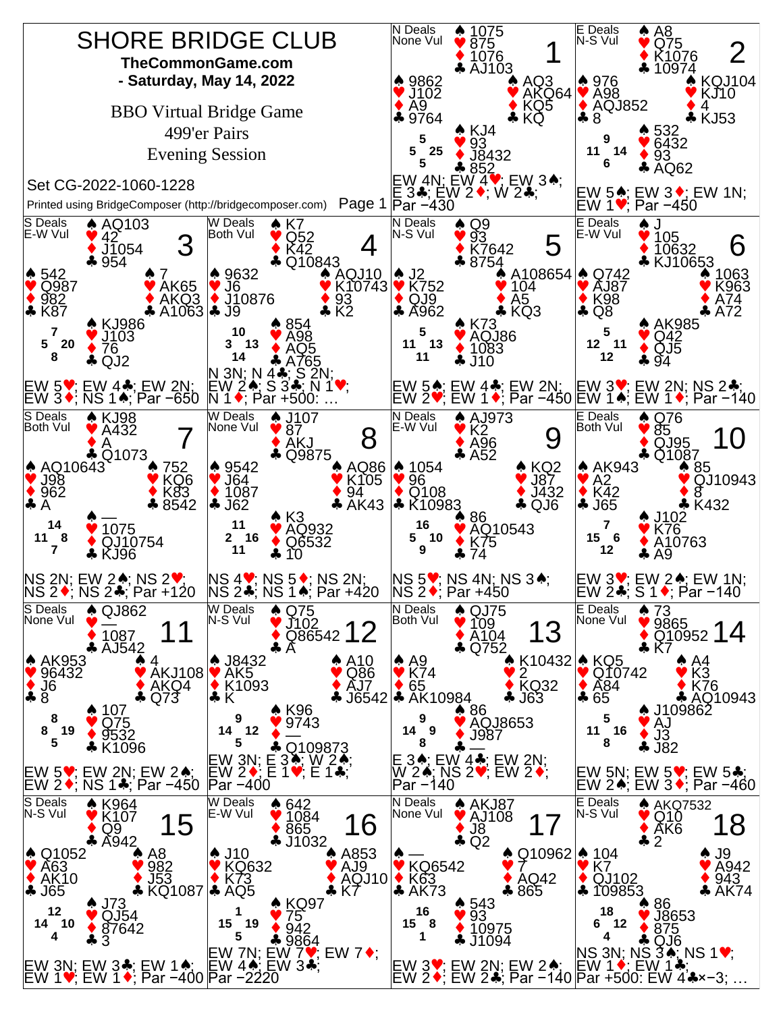